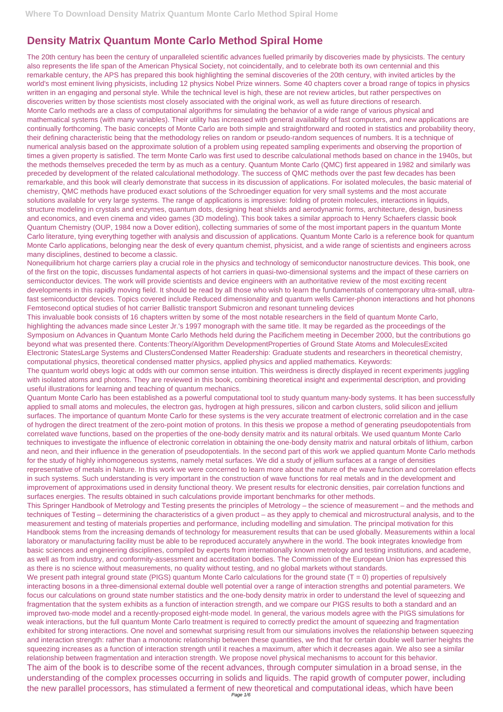## **Density Matrix Quantum Monte Carlo Method Spiral Home**

The 20th century has been the century of unparalleled scientific advances fuelled primarily by discoveries made by physicists. The century also represents the life span of the American Physical Society, not coincidentally, and to celebrate both its own centennial and this remarkable century, the APS has prepared this book highlighting the seminal discoveries of the 20th century, with invited articles by the world's most eminent living physicists, including 12 physics Nobel Prize winners. Some 40 chapters cover a broad range of topics in physics written in an engaging and personal style. While the technical level is high, these are not review articles, but rather perspectives on discoveries written by those scientists most closely associated with the original work, as well as future directions of research. Monte Carlo methods are a class of computational algorithms for simulating the behavior of a wide range of various physical and mathematical systems (with many variables). Their utility has increased with general availability of fast computers, and new applications are continually forthcoming. The basic concepts of Monte Carlo are both simple and straightforward and rooted in statistics and probability theory, their defining characteristic being that the methodology relies on random or pseudo-random sequences of numbers. It is a technique of numerical analysis based on the approximate solution of a problem using repeated sampling experiments and observing the proportion of times a given property is satisfied. The term Monte Carlo was first used to describe calculational methods based on chance in the 1940s, but the methods themselves preceded the term by as much as a century. Quantum Monte Carlo (QMC) first appeared in 1982 and similarly was preceded by development of the related calculational methodology. The success of QMC methods over the past few decades has been remarkable, and this book will clearly demonstrate that success in its discussion of applications. For isolated molecules, the basic material of chemistry, QMC methods have produced exact solutions of the Schroedinger equation for very small systems and the most accurate solutions available for very large systems. The range of applications is impressive: folding of protein molecules, interactions in liquids, structure modeling in crystals and enzymes, quantum dots, designing heat shields and aerodynamic forms, architecture, design, business and economics, and even cinema and video games (3D modeling). This book takes a similar approach to Henry Schaefers classic book Quantum Chemistry (OUP, 1984 now a Dover edition), collecting summaries of some of the most important papers in the quantum Monte Carlo literature, tying everything together with analysis and discussion of applications. Quantum Monte Carlo is a reference book for quantum Monte Carlo applications, belonging near the desk of every quantum chemist, physicist, and a wide range of scientists and engineers across many disciplines, destined to become a classic.

Nonequilibrium hot charge carriers play a crucial role in the physics and technology of semiconductor nanostructure devices. This book, one of the first on the topic, discusses fundamental aspects of hot carriers in quasi-two-dimensional systems and the impact of these carriers on semiconductor devices. The work will provide scientists and device engineers with an authoritative review of the most exciting recent developments in this rapidly moving field. It should be read by all those who wish to learn the fundamentals of contemporary ultra-small, ultrafast semiconductor devices. Topics covered include Reduced dimensionality and quantum wells Carrier-phonon interactions and hot phonons Femtosecond optical studies of hot carrier Ballistic transport Submicron and resonant tunneling devices

This invaluable book consists of 16 chapters written by some of the most notable researchers in the field of quantum Monte Carlo, highlighting the advances made since Lester Jr.'s 1997 monograph with the same title. It may be regarded as the proceedings of the Symposium on Advances in Quantum Monte Carlo Methods held during the Pacifichem meeting in December 2000, but the contributions go beyond what was presented there. Contents:Theory/Algorithm DevelopmentProperties of Ground State Atoms and MoleculesExcited Electronic StatesLarge Systems and ClustersCondensed Matter Readership: Graduate students and researchers in theoretical chemistry, computational physics, theoretical condensed matter physics, applied physics and applied mathematics. Keywords:

The quantum world obeys logic at odds with our common sense intuition. This weirdness is directly displayed in recent experiments juggling with isolated atoms and photons. They are reviewed in this book, combining theoretical insight and experimental description, and providing useful illustrations for learning and teaching of quantum mechanics.

Quantum Monte Carlo has been established as a powerful computational tool to study quantum many-body systems. It has been successfully applied to small atoms and molecules, the electron gas, hydrogen at high pressures, silicon and carbon clusters, solid silicon and jellium surfaces. The importance of quantum Monte Carlo for these systems is the very accurate treatment of electronic correlation and in the case of hydrogen the direct treatment of the zero-point motion of protons. In this thesis we propose a method of generating pseudopotentials from correlated wave functions, based on the properties of the one-body density matrix and its natural orbitals. We used quantum Monte Carlo techniques to investigate the influence of electronic correlation in obtaining the one-body density matrix and natural orbitals of lithium, carbon and neon, and their influence in the generation of pseudopotentials. In the second part of this work we applied quantum Monte Carlo methods for the study of highly inhomogeneous systems, namely metal surfaces. We did a study of jellium surfaces at a range of densities representative of metals in Nature. In this work we were concerned to learn more about the nature of the wave function and correlation effects in such systems. Such understanding is very important in the construction of wave functions for real metals and in the development and improvement of approximations used in density functional theory. We present results for electronic densities, pair correlation functions and surfaces energies. The results obtained in such calculations provide important benchmarks for other methods.

This Springer Handbook of Metrology and Testing presents the principles of Metrology – the science of measurement – and the methods and techniques of Testing – determining the characteristics of a given product – as they apply to chemical and microstructural analysis, and to the measurement and testing of materials properties and performance, including modelling and simulation. The principal motivation for this Handbook stems from the increasing demands of technology for measurement results that can be used globally. Measurements within a local

laboratory or manufacturing facility must be able to be reproduced accurately anywhere in the world. The book integrates knowledge from basic sciences and engineering disciplines, compiled by experts from internationally known metrology and testing institutions, and academe, as well as from industry, and conformity-assessment and accreditation bodies. The Commission of the European Union has expressed this as there is no science without measurements, no quality without testing, and no global markets without standards. We present path integral ground state (PIGS) quantum Monte Carlo calculations for the ground state  $(T = 0)$  properties of repulsively interacting bosons in a three-dimensional external double well potential over a range of interaction strengths and potential parameters. We focus our calculations on ground state number statistics and the one-body density matrix in order to understand the level of squeezing and fragmentation that the system exhibits as a function of interaction strength, and we compare our PIGS results to both a standard and an improved two-mode model and a recently-proposed eight-mode model. In general, the various models agree with the PIGS simulations for weak interactions, but the full quantum Monte Carlo treatment is required to correctly predict the amount of squeezing and fragmentation exhibited for strong interactions. One novel and somewhat surprising result from our simulations involves the relationship between squeezing and interaction strength: rather than a monotonic relationship between these quantities, we find that for certain double well barrier heights the squeezing increases as a function of interaction strength until it reaches a maximum, after which it decreases again. We also see a similar relationship between fragmentation and interaction strength. We propose novel physical mechanisms to account for this behavior. The aim of the book is to describe some of the recent advances, through computer simulation in a broad sense, in the understanding of the complex processes occurring in solids and liquids. The rapid growth of computer power, including the new parallel processors, has stimulated a ferment of new theoretical and computational ideas, which have been Page 1/6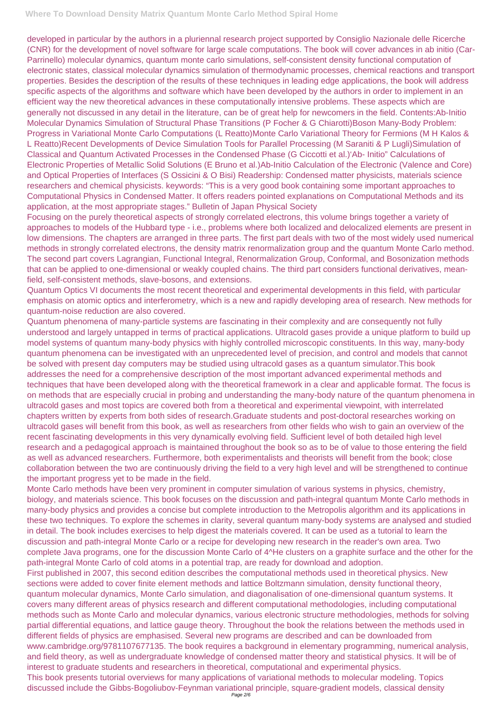developed in particular by the authors in a pluriennal research project supported by Consiglio Nazionale delle Ricerche (CNR) for the development of novel software for large scale computations. The book will cover advances in ab initio (Car-Parrinello) molecular dynamics, quantum monte carlo simulations, self-consistent density functional computation of electronic states, classical molecular dynamics simulation of thermodynamic processes, chemical reactions and transport properties. Besides the description of the results of these techniques in leading edge applications, the book will address specific aspects of the algorithms and software which have been developed by the authors in order to implement in an efficient way the new theoretical advances in these computationally intensive problems. These aspects which are generally not discussed in any detail in the literature, can be of great help for newcomers in the field. Contents:Ab-Initio Molecular Dynamics Simulation of Structural Phase Transitions (P Focher & G Chiarotti)Boson Many-Body Problem: Progress in Variational Monte Carlo Computations (L Reatto)Monte Carlo Variational Theory for Fermions (M H Kalos & L Reatto)Recent Developments of Device Simulation Tools for Parallel Processing (M Saraniti & P Lugli)Simulation of Classical and Quantum Activated Processes in the Condensed Phase (G Ciccotti et al.)'Ab- Initio" Calculations of Electronic Properties of Metallic Solid Solutions (E Bruno et al.)Ab-Initio Calculation of the Electronic (Valence and Core) and Optical Properties of Interfaces (S Ossicini & O Bisi) Readership: Condensed matter physicists, materials science researchers and chemical physicists. keywords: "This is a very good book containing some important approaches to Computational Physics in Condensed Matter. It offers readers pointed explanations on Computational Methods and its application, at the most appropriate stages." Bulletin of Japan Physical Society

Focusing on the purely theoretical aspects of strongly correlated electrons, this volume brings together a variety of approaches to models of the Hubbard type - i.e., problems where both localized and delocalized elements are present in low dimensions. The chapters are arranged in three parts. The first part deals with two of the most widely used numerical methods in strongly correlated electrons, the density matrix renormalization group and the quantum Monte Carlo method. The second part covers Lagrangian, Functional Integral, Renormalization Group, Conformal, and Bosonization methods that can be applied to one-dimensional or weakly coupled chains. The third part considers functional derivatives, meanfield, self-consistent methods, slave-bosons, and extensions.

Quantum Optics VI documents the most recent theoretical and experimental developments in this field, with particular emphasis on atomic optics and interferometry, which is a new and rapidly developing area of research. New methods for quantum-noise reduction are also covered.

Quantum phenomena of many-particle systems are fascinating in their complexity and are consequently not fully understood and largely untapped in terms of practical applications. Ultracold gases provide a unique platform to build up model systems of quantum many-body physics with highly controlled microscopic constituents. In this way, many-body quantum phenomena can be investigated with an unprecedented level of precision, and control and models that cannot be solved with present day computers may be studied using ultracold gases as a quantum simulator.This book addresses the need for a comprehensive description of the most important advanced experimental methods and techniques that have been developed along with the theoretical framework in a clear and applicable format. The focus is on methods that are especially crucial in probing and understanding the many-body nature of the quantum phenomena in ultracold gases and most topics are covered both from a theoretical and experimental viewpoint, with interrelated chapters written by experts from both sides of research.Graduate students and post-doctoral researches working on ultracold gases will benefit from this book, as well as researchers from other fields who wish to gain an overview of the recent fascinating developments in this very dynamically evolving field. Sufficient level of both detailed high level research and a pedagogical approach is maintained throughout the book so as to be of value to those entering the field as well as advanced researchers. Furthermore, both experimentalists and theorists will benefit from the book; close collaboration between the two are continuously driving the field to a very high level and will be strengthened to continue the important progress yet to be made in the field.

Monte Carlo methods have been very prominent in computer simulation of various systems in physics, chemistry, biology, and materials science. This book focuses on the discussion and path-integral quantum Monte Carlo methods in many-body physics and provides a concise but complete introduction to the Metropolis algorithm and its applications in these two techniques. To explore the schemes in clarity, several quantum many-body systems are analysed and studied in detail. The book includes exercises to help digest the materials covered. It can be used as a tutorial to learn the

discussion and path-integral Monte Carlo or a recipe for developing new research in the reader's own area. Two complete Java programs, one for the discussion Monte Carlo of 4^He clusters on a graphite surface and the other for the path-integral Monte Carlo of cold atoms in a potential trap, are ready for download and adoption. First published in 2007, this second edition describes the computational methods used in theoretical physics. New sections were added to cover finite element methods and lattice Boltzmann simulation, density functional theory, quantum molecular dynamics, Monte Carlo simulation, and diagonalisation of one-dimensional quantum systems. It covers many different areas of physics research and different computational methodologies, including computational methods such as Monte Carlo and molecular dynamics, various electronic structure methodologies, methods for solving partial differential equations, and lattice gauge theory. Throughout the book the relations between the methods used in different fields of physics are emphasised. Several new programs are described and can be downloaded from www.cambridge.org/9781107677135. The book requires a background in elementary programming, numerical analysis, and field theory, as well as undergraduate knowledge of condensed matter theory and statistical physics. It will be of interest to graduate students and researchers in theoretical, computational and experimental physics. This book presents tutorial overviews for many applications of variational methods to molecular modeling. Topics discussed include the Gibbs-Bogoliubov-Feynman variational principle, square-gradient models, classical density Page 2/6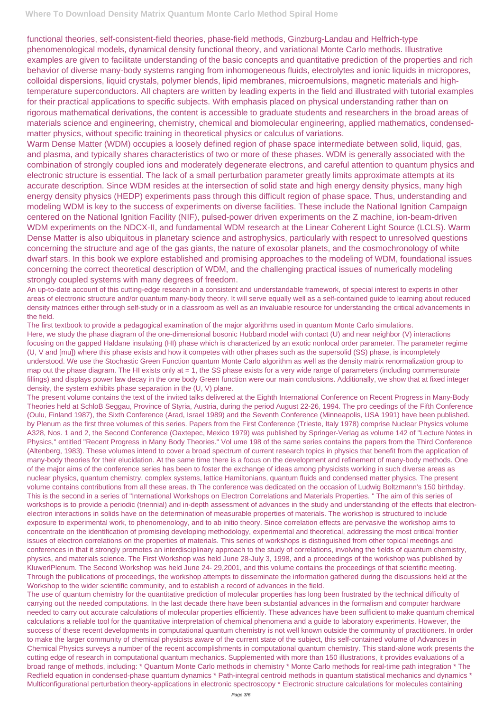functional theories, self-consistent-field theories, phase-field methods, Ginzburg-Landau and Helfrich-type phenomenological models, dynamical density functional theory, and variational Monte Carlo methods. Illustrative examples are given to facilitate understanding of the basic concepts and quantitative prediction of the properties and rich behavior of diverse many-body systems ranging from inhomogeneous fluids, electrolytes and ionic liquids in micropores, colloidal dispersions, liquid crystals, polymer blends, lipid membranes, microemulsions, magnetic materials and hightemperature superconductors. All chapters are written by leading experts in the field and illustrated with tutorial examples for their practical applications to specific subjects. With emphasis placed on physical understanding rather than on rigorous mathematical derivations, the content is accessible to graduate students and researchers in the broad areas of materials science and engineering, chemistry, chemical and biomolecular engineering, applied mathematics, condensedmatter physics, without specific training in theoretical physics or calculus of variations.

Warm Dense Matter (WDM) occupies a loosely defined region of phase space intermediate between solid, liquid, gas, and plasma, and typically shares characteristics of two or more of these phases. WDM is generally associated with the combination of strongly coupled ions and moderately degenerate electrons, and careful attention to quantum physics and electronic structure is essential. The lack of a small perturbation parameter greatly limits approximate attempts at its accurate description. Since WDM resides at the intersection of solid state and high energy density physics, many high energy density physics (HEDP) experiments pass through this difficult region of phase space. Thus, understanding and modeling WDM is key to the success of experiments on diverse facilities. These include the National Ignition Campaign centered on the National Ignition Facility (NIF), pulsed-power driven experiments on the Z machine, ion-beam-driven WDM experiments on the NDCX-II, and fundamental WDM research at the Linear Coherent Light Source (LCLS). Warm Dense Matter is also ubiquitous in planetary science and astrophysics, particularly with respect to unresolved questions concerning the structure and age of the gas giants, the nature of exosolar planets, and the cosmochronology of white dwarf stars. In this book we explore established and promising approaches to the modeling of WDM, foundational issues concerning the correct theoretical description of WDM, and the challenging practical issues of numerically modeling strongly coupled systems with many degrees of freedom.

An up-to-date account of this cutting-edge research in a consistent and understandable framework, of special interest to experts in other areas of electronic structure and/or quantum many-body theory. It will serve equally well as a self-contained guide to learning about reduced density matrices either through self-study or in a classroom as well as an invaluable resource for understanding the critical advancements in the field.

The first textbook to provide a pedagogical examination of the major algorithms used in quantum Monte Carlo simulations. Here, we study the phase diagram of the one-dimensional bosonic Hubbard model with contact (U) and near neighbor (V) interactions focusing on the gapped Haldane insulating (HI) phase which is characterized by an exotic nonlocal order parameter. The parameter regime (U, V and [mu]) where this phase exists and how it competes with other phases such as the supersolid (SS) phase, is incompletely understood. We use the Stochastic Green Function quantum Monte Carlo algorithm as well as the density matrix renormalization group to map out the phase diagram. The HI exists only at = 1, the SS phase exists for a very wide range of parameters (including commensurate fillings) and displays power law decay in the one body Green function were our main conclusions. Additionally, we show that at fixed integer density, the system exhibits phase separation in the (U, V) plane.

The present volume contains the text of the invited talks delivered at the Eighth International Conference on Recent Progress in Many-Body Theories held at SchloB Seggau, Province of Styria, Austria, during the period August 22-26, 1994. The pro ceedings of the Fifth Conference (Oulu, Finland 1987), the Sixth Conference (Arad, Israel 1989) and the Seventh Conference (Minneapolis, USA 1991) have been published. by Plenum as the first three volumes of this series. Papers from the First Conference (Trieste, Italy 1978) comprise Nuclear Physics volume A328, Nos. 1 and 2, the Second Conference (Oaxtepec, Mexico 1979) was published by Springer-Verlag as volume 142 of "Lecture Notes in Physics," entitled "Recent Progress in Many Body Theories." Vol ume 198 of the same series contains the papers from the Third Conference (Altenberg, 1983). These volumes intend to cover a broad spectrum of current research topics in physics that benefit from the application of many-body theories for their elucidation. At the same time there is a focus on the development and refinement of many-body methods. One of the major aims of the conference series has been to foster the exchange of ideas among physicists working in such diverse areas as nuclear physics, quantum chemistry, complex systems, lattice Hamiltonians, quantum fluids and condensed matter physics. The present volume contains contributions from all these areas. th The conference was dedicated on the occasion of Ludwig Boltzmann's 150 birthday. This is the second in a series of "International Workshops on Electron Correlations and Materials Properties. " The aim of this series of workshops is to provide a periodic (triennial) and in-depth assessment of advances in the study and understanding of the effects that electronelectron interactions in solids have on the determination of measurable properties of materials. The workshop is structured to include exposure to experimental work, to phenomenology, and to ab initio theory. Since correlation effects are pervasive the workshop aims to concentrate on the identification of promising developing methodology, experimental and theoretical, addressing the most critical frontier issues of electron correlations on the properties of materials. This series of workshops is distinguished from other topical meetings and conferences in that it strongly promotes an interdisciplinary approach to the study of correlations, involving the fields of quantum chemistry, physics, and materials science. The First Workshop was held June 28-July 3, 1998, and a proceedings of the workshop was published by KluwerlPlenum. The Second Workshop was held June 24- 29,2001, and this volume contains the proceedings of that scientific meeting. Through the publications of proceedings, the workshop attempts to disseminate the information gathered during the discussions held at the Workshop to the wider scientific community, and to establish a record of advances in the field. The use of quantum chemistry for the quantitative prediction of molecular properties has long been frustrated by the technical difficulty of carrying out the needed computations. In the last decade there have been substantial advances in the formalism and computer hardware needed to carry out accurate calculations of molecular properties efficiently. These advances have been sufficient to make quantum chemical calculations a reliable tool for the quantitative interpretation of chemical phenomena and a guide to laboratory experiments. However, the success of these recent developments in computational quantum chemistry is not well known outside the community of practitioners. In order to make the larger community of chemical physicists aware of the current state of the subject, this self-contained volume of Advances in Chemical Physics surveys a number of the recent accomplishments in computational quantum chemistry. This stand-alone work presents the cutting edge of research in computational quantum mechanics. Supplemented with more than 150 illustrations, it provides evaluations of a broad range of methods, including: \* Quantum Monte Carlo methods in chemistry \* Monte Carlo methods for real-time path integration \* The Redfield equation in condensed-phase quantum dynamics \* Path-integral centroid methods in quantum statistical mechanics and dynamics \* Multiconfigurational perturbation theory-applications in electronic spectroscopy \* Electronic structure calculations for molecules containing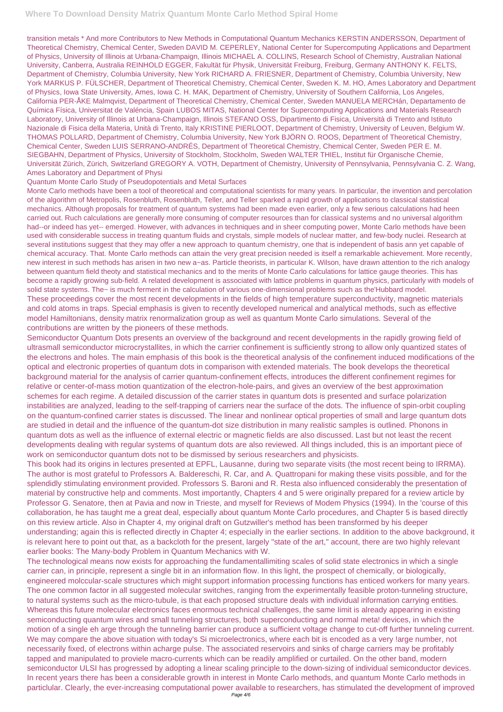transition metals \* And more Contributors to New Methods in Computational Quantum Mechanics KERSTIN ANDERSSON, Department of Theoretical Chemistry, Chemical Center, Sweden DAVID M. CEPERLEY, National Center for Supercomputing Applications and Department of Physics, University of Illinois at Urbana-Champaign, Illinois MICHAEL A. COLLINS, Research School of Chemistry, Australian National University, Canberra, Australia REINHOLD EGGER, Fakultät für Physik, Universität Freiburg, Freiburg, Germany ANTHONY K. FELTS, Department of Chemistry, Columbia University, New York RICHARD A. FRIESNER, Department of Chemistry, Columbia University, New York MARKUS P. FÜLSCHER, Department of Theoretical Chemistry, Chemical Center, Sweden K. M. HO, Ames Laboratory and Department of Physics, Iowa State University, Ames, Iowa C. H. MAK, Department of Chemistry, University of Southern California, Los Angeles, California PER-ÅKE Malmqvist, Department of Theoretical Chemistry, Chemical Center, Sweden MANUELA MERCHán, Departamento de Química Física, Universitat de Valéncia, Spain LUBOS MITAS, National Center for Supercomputing Applications and Materials Research Laboratory, University of Illinois at Urbana-Champaign, Illinois STEFANO OSS, Dipartimento di Fisica, Università di Trento and Istituto Nazionale di Fisica della Materia, Unità di Trento, Italy KRISTINE PIERLOOT, Department of Chemistry, University of Leuven, Belgium W. THOMAS POLLARD, Department of Chemistry, Columbia University, New York BJÖRN O. ROOS, Department of Theoretical Chemistry, Chemical Center, Sweden LUIS SERRANO-ANDRÉS, Department of Theoretical Chemistry, Chemical Center, Sweden PER E. M. SIEGBAHN, Department of Physics, University of Stockholm, Stockholm, Sweden WALTER THIEL, Institut für Organische Chemie, Universität Zürich, Zürich, Switzerland GREGORY A. VOTH, Department of Chemistry, University of Pennsylvania, Pennsylvania C. Z. Wang, Ames Laboratory and Department of Physi

## Quantum Monte Carlo Study of Pseudopotentials and Metal Surfaces

Monte Carlo methods have been a tool of theoretical and computational scientists for many years. In particular, the invention and percolation of the algorithm of Metropolis, Rosenbluth, Rosenbluth, Teller, and Teller sparked a rapid growth of applications to classical statistical mechanics. Although proposals for treatment of quantum systems had been made even earlier, only a few serious calculations had heen carried out. Ruch calculations are generally more consuming of computer resources than for classical systems and no universal algorithm had--or indeed has yet-- emerged. However, with advances in techniques and in sheer computing power, Monte Carlo methods have been used with considerable success in treating quantum fluids and crystals, simple models of nuclear matter, and few-body nuclei. Research at several institutions suggest that they may offer a new approach to quantum chemistry, one that is independent of basis ann yet capable of chemical accuracy. That. Monte Carlo methods can attain the very great precision needed is itself a remarkable achievement. More recently, new interest in such methods has arisen in two new a~as. Particle theorists, in particular K. Wilson, have drawn attention to the rich analogy between quantum field theoty and statistical mechanics and to the merits of Monte Carlo calculations for lattice gauge theories. This has become a rapidly growing sub-field. A related development is associated with lattice problems in quantum physics, particularly with models of solid state systems. The~ is much ferment in the calculation of various one-dimensional problems such as the'Hubbard model. These proceedings cover the most recent developments in the fields of high temperature superconductivity, magnetic materials and cold atoms in traps. Special emphasis is given to recently developed numerical and analytical methods, such as effective model Hamiltonians, density matrix renormalization group as well as quantum Monte Carlo simulations. Several of the contributions are written by the pioneers of these methods.

Semiconductor Quantum Dots presents an overview of the background and recent developments in the rapidly growing field of ultrasmall semiconductor microcrystallites, in which the carrier confinement is sufficiently strong to allow only quantized states of the electrons and holes. The main emphasis of this book is the theoretical analysis of the confinement induced modifications of the optical and electronic properties of quantum dots in comparison with extended materials. The book develops the theoretical background material for the analysis of carrier quantum-confinement effects, introduces the different confinement regimes for relative or center-of-mass motion quantization of the electron-hole-pairs, and gives an overview of the best approximation schemes for each regime. A detailed discussion of the carrier states in quantum dots is presented and surface polarization instabilities are analyzed, leading to the self-trapping of carriers near the surface of the dots. The influence of spin-orbit coupling on the quantum-confined carrier states is discussed. The linear and nonlinear optical properties of small and large quantum dots are studied in detail and the influence of the quantum-dot size distribution in many realistic samples is outlined. Phonons in quantum dots as well as the influence of external electric or magnetic fields are also discussed. Last but not least the recent developments dealing with regular systems of quantum dots are also reviewed. All things included, this is an important piece of work on semiconductor quantum dots not to be dismissed by serious researchers and physicists.

This book had its origins in lectures presented at EPFL, Lausanne, during two separate visits (the most recent being to IRRMA). The author is most grateful to Professors A. Baldereschi, R. Car, and A. Quattropani for making these visits possible, and for the splendidly stimulating environment provided. Professors S. Baroni and R. Resta also influenced considerably the presentation of material by constructive help and comments. Most importantly, Chapters 4 and 5 were originally prepared for a review article by Professor G. Senatore, then at Pavia and now in Trieste, and myself for Reviews of Modem Physics (1994). In the 'course of this collaboration, he has taught me a great deal, especially about quantum Monte Carlo procedures, and Chapter 5 is based directly on this review article. Also in Chapter 4, my original draft on Gutzwiller's method has been transformed by his deeper understanding; again this is reflected directly in Chapter 4; especially in the earlier sections. In addition to the above background, it

is relevant here to point out that, as a backcloth for the present, largely "state of the art," account, there are two highly relevant earlier books: The Many-body Problem in Quantum Mechanics with W.

The technological means now exists for approaching the fundamentallimiting scales of solid state electronics in which a single carrier can, in principle, represent a single bit in an information flow. In this light, the prospect of chemically, or biologically, engineered molccular-scale structures which might support information processing functions has enticed workers for many years. The one common factor in all suggested molecular switches, ranging from the experimentally feasible proton-tunneling structure, to natural systems such as the micro-tubule, is that each proposed structure deals with individual information carrying entities. Whereas this future molecular electronics faces enormous technical challenges, the same Iimit is already appearing in existing semiconducting quantum wires and small tunneling structures, both superconducting and normal meta! devices, in which the motion of a single eh arge through the tunneling barrier can produce a sufficient voltage change to cut-off further tunneling current. We may compare the above situation with today's Si microelectronics, where each bit is encoded as a very !arge number, not necessarily fixed, of electrons within acharge pulse. The associated reservoirs and sinks of charge carriers may be profitably tapped and manipulated to proviele macro-currents which can be readily amplified or curtailed. On the other band, modern semiconductor ULSI has progressed by adopting a linear scaling principle to the down-sizing of individual semiconductor devices. In recent years there has been a considerable growth in interest in Monte Carlo methods, and quantum Monte Carlo methods in particlular. Clearly, the ever-increasing computational power available to researchers, has stimulated the development of improved Page 4/6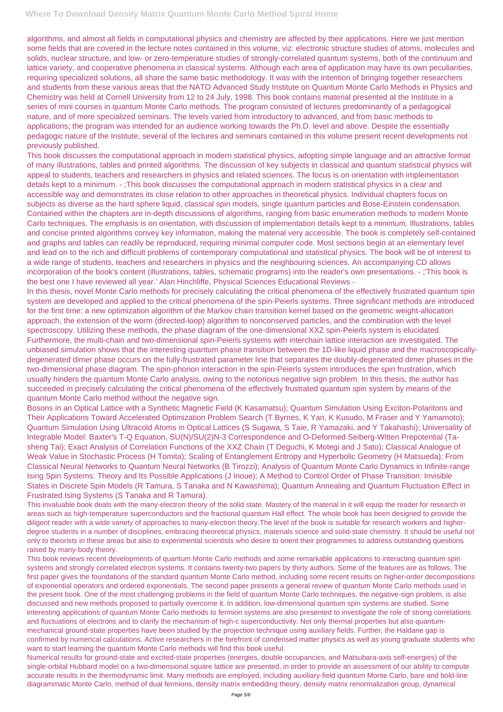algorithms, and almost all fields in computational physics and chemistry are affected by their applications. Here we just mention some fields that are covered in the lecture notes contained in this volume, viz. electronic structure studies of atoms, molecules and solids, nuclear structure, and low- or zero-temperature studies of strongly-correlated quantum systems, both of the continuum and lattice variety, and cooperative phenomena in classical systems. Although each area of application may have its own peculiarities, requiring specialized solutions, all share the same basic methodology. It was with the intention of bringing together researchers and students from these various areas that the NATO Advanced Study Institute on Quantum Monte Carlo Methods in Physics and Chemistry was held at Cornell University from 12 to 24 July, 1998. This book contains material presented at the Institute in a series of mini courses in quantum Monte Carlo methods. The program consisted of lectures predominantly of a pedagogical nature, and of more specialized seminars. The levels varied from introductory to advanced, and from basic methods to applications; the program was intended for an audience working towards the Ph.D. level and above. Despite the essentially pedagogic nature of the Institute, several of the lectures and seminars contained in this volume present recent developments not previously published.

This book discusses the computational approach in modern statistical physics, adopting simple language and an attractive format of many illustrations, tables and printed algorithms. The discussion of key subjects in classical and quantum statistical physics will appeal to students, teachers and researchers in physics and related sciences. The focus is on orientation with implementation details kept to a minimum. - ;This book discusses the computational approach in modern statistical physics in a clear and accessible way and demonstrates its close relation to other approaches in theoretical physics. Individual chapters focus on subjects as diverse as the hard sphere liquid, classical spin models, single quantum particles and Bose-Einstein condensation. Contained within the chapters are in-depth discussions of algorithms, ranging from basic enumeration methods to modern Monte Carlo techniques. The emphasis is on orientation, with discussion of implementation details kept to a minimum. Illustrations, tables and concise printed algorithms convey key information, making the material very accessible. The book is completely self-contained and graphs and tables can readily be reproduced, requiring minimal computer code. Most sections begin at an elementary level and lead on to the rich and difficult problems of contemporary computational and statistical physics. The book will be of interest to a wide range of students, teachers and researchers in physics and the neighbouring sciences. An accompanying CD allows incorporation of the book's content (illustrations, tables, schematic programs) into the reader's own presentations. - ;'This book is the best one I have reviewed all year.' Alan Hinchliffe, Physical Sciences Educational Reviews -

In this thesis, novel Monte Carlo methods for precisely calculating the critical phenomena of the effectively frustrated quantum spin system are developed and applied to the critical phenomena of the spin-Peierls systems. Three significant methods are introduced for the first time: a new optimization algorithm of the Markov chain transition kernel based on the geometric weight-allocation approach, the extension of the worm (directed-loop) algorithm to nonconserved particles, and the combination with the level spectroscopy. Utilizing these methods, the phase diagram of the one-dimensional XXZ spin-Peierls system is elucidated. Furthermore, the multi-chain and two-dimensional spin-Peierls systems with interchain lattice interaction are investigated. The unbiased simulation shows that the interesting quantum phase transition between the 1D-like liquid phase and the macroscopicallydegenerated dimer phase occurs on the fully-frustrated parameter line that separates the doubly-degenerated dimer phases in the two-dimensional phase diagram. The spin-phonon interaction in the spin-Peierls system introduces the spin frustration, which usually hinders the quantum Monte Carlo analysis, owing to the notorious negative sign problem. In this thesis, the author has succeeded in precisely calculating the critical phenomena of the effectively frustrated quantum spin system by means of the quantum Monte Carlo method without the negative sign.

Bosons in an Optical Lattice with a Synthetic Magnetic Field (K Kasamatsu); Quantum Simulation Using Exciton-Polaritons and Their Applications Toward Accelerated Optimization Problem Search (T Byrnes, K Yan, K Kusudo, M Fraser and Y Yamamoto); Quantum Simulation Using Ultracold Atoms in Optical Lattices (S Sugawa, S Taie, R Yamazaki, and Y Takahashi); Universality of Integrable Model: Baxter's T-Q Equation, SU(N)/SU(2)N-3 Correspondence and O-Deformed Seiberg-Witten Prepotential (Tasheng Tai); Exact Analysis of Correlation Functions of the XXZ Chain (T Deguchi, K Motegi and J Sato); Classical Analogue of Weak Value in Stochastic Process (H Tomita); Scaling of Entanglement Entropy and Hyperbolic Geometry (H Matsueda); From Classical Neural Networks to Quantum Neural Networks (B Tirozzi); Analysis of Quantum Monte Carlo Dynamics in Infinite-range Ising Spin Systems: Theory and Its Possible Applications (J Inoue); A Method to Control Order of Phase Transition: Invisible States in Discrete Spin Models (R Tamura, S Tanaka and N Kawashima); Quantum Annealing and Quantum Fluctuation Effect in Frustrated Ising Systems (S Tanaka and R Tamura).

This invaluable book deals with the many-electron theory of the solid state. Mastery of the material in it will equip the reader for research in areas such as high-temperature superconductors and the fractional quantum Hall effect. The whole book has been designed to provide the diligent reader with a wide variety of approaches to many-electron theory.The level of the book is suitable for research workers and higherdegree students in a number of disciplines, embracing theoretical physics, materials science and solid-state chemistry. It should be useful not

only to theorists in these areas but also to experimental scientists who desire to orient their programmes to address outstanding questions raised by many-body theory.

This book reviews recent developments of quantum Monte Carlo methods and some remarkable applications to interacting quantum spin systems and strongly correlated electron systems. It contains twenty-two papers by thirty authors. Some of the features are as follows. The first paper gives the foundations of the standard quantum Monte Carlo method, including some recent results on higher-order decompositions of exponential operators and ordered exponentials. The second paper presents a general review of quantum Monte Carlo methods used in the present book. One of the most challenging problems in the field of quantum Monte Carlo techniques, the negative-sign problem, is also discussed and new methods proposed to partially overcome it. In addition, low-dimensional quantum spin systems are studied. Some interesting applications of quantum Monte Carlo methods to fermion systems are also presented to investigate the role of strong correlations and fluctuations of electrons and to clarify the mechanism of high-c superconductivity. Not only thermal properties but also quantummechanical ground-state properties have been studied by the projection technique using auxiliary fields. Further, the Haldane gap is confirmed by numerical calculations. Active researchers in the forefront of condensed matter physics as well as young graduate students who want to start learning the quantum Monte Carlo methods will find this book useful.

Numerical results for ground-state and excited-state properties (energies, double occupancies, and Matsubara-axis self-energies) of the single-orbital Hubbard model on a two-dimensional square lattice are presented, in order to provide an assessment of our ability to compute accurate results in the thermodynamic limit. Many methods are employed, including auxiliary-field quantum Monte Carlo, bare and bold-line diagrammatic Monte Carlo, method of dual fermions, density matrix embedding theory, density matrix renormalization group, dynamical